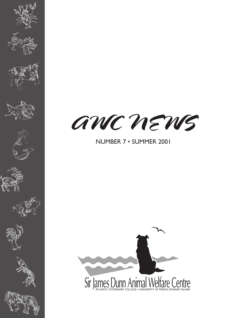

















# NUMBER 7 • SUMMER 2001

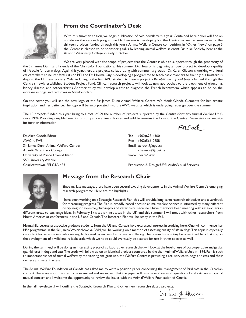

## **From the Coordinator's Desk**

With this summer edition, we begin publication of two newsletters a year. Contained herein you will find an update on the research programme Dr. Hewson is developing for the Centre, as well as summaries of the thirteen projects funded through this year's Animal Welfare Centre competition. In "Other News" on page 5 the Centre is pleased to be sponsoring talks by leading animal welfare scientist Dr. Mike Appleby here at the Atlantic Veterinary College in early October.

We are very pleased with the scope of projects that the Centre is able to support, through the generosity of the Sir James Dunn and Friends of the Christofor Foundations. This summer, Dr. Hewson is beginning a novel project to develop a quality of life scale for use in dogs. Again this year, there are projects collaborating with community groups - Dr. Karen Gibson is working with feral cat caretakers to neuter feral cats on PEI, and Dr. Norma Guy is developing a programme to teach basic manners to friendly but boisterous dogs at the Humane Society. Melanie Ching is the first AVC student to have a project - *Rehabilitation of wild birds* - funded through the Centre's newly established Student Project Fund. Clinical research projects will look at new approaches to the treatment of glaucoma, kidney disease, and osteoarthritis. Another study will develop a test to diagnose the French heartworm, which appears to be on the increase in dogs and red foxes in Newfoundland.

On the cover you will see the new logo of the Sir James Dunn Animal Welfare Centre. We thank Glenda Clements for her artistic inspiration and her patience. The logo will be incorporated into the AWC website which is undergoing redesign over the summer.

The 13 projects funded this year bring to a total of 59 the number of projects supported by the Centre (formerly Animal Welfare Unit) since 1994. Providing tangible benefits for companion animals, horses and wildlife remains the focus of the Centre. Please visit our website for further information.

Dr. Alice Crook, Editor AWC NEWS Sir James Dunn Animal Welfare Centre Atlantic Veterinary College University of Prince Edward Island 550 University Avenue Charlottetown, PEI C1A 4P3

Rn *তিব*া

Tel: (902)628-4360 Fax: (902)566-0958 Email: acrook@upei.ca chewson@upei.ca www.upei.ca/~awc

Production & Design: UPEI Audio Visual Services



## **Message from the Research Chair**

Since my last message, there have been several exciting developments in the Animal Welfare Centre's emerging research programme. Here are the highlights.

I have been working on a Strategic Research Plan; this will provide long-term research objectives and a yardstick for measuring progress. The Plan is broadly-based because animal welfare science is informed by many different disciplines; for example, philosophy and veterinary medicine. I have therefore been meeting with researchers in

different areas to exchange ideas. In February, I visited six institutes in the UK and this summer I will meet with other researchers from North America at conferences in the US and Canada. The Research Plan will be ready in the Fall.

Meanwhile, several prospective graduate students from the US and Canada have expressed interest in studying here. One will commence her MSc programme in the fall: Janina Wojciechowska DVM, will be working on a method of assessing quality of life in dogs. This topic is especially important for veterinarians who are regularly asked by owners if an animal is suffering. The research is exciting because it will be a first step in the development of a valid and reliable scale which we hope could eventually be adapted for use in other species as well.

During the summer, I will be doing an interesting piece of collaborative research that will look at the level of use of post-operative analgesics (painkillers) in dogs and cats. The study will follow up on an identical project sponsored by the then Animal Welfare Unit in 1994. Pain is such an important aspect of animal welfare: by monitoring analgesic use, the Welfare Centre is providing a real service to dogs and cats and their owners and veterinarians.

The Animal Welfare Foundation of Canada has asked me to write a position paper concerning the management of feral cats in the Canadian context. There are a lot of issues to be examined and we expect that the paper will raise several research questions. Feral cats are a topic of mutual concern and I welcome the opportunity to review the issues with the Animal Welfare Foundation of Canada.

In the fall newsletter, I will outline the Strategic Research Plan and other new research-related projects.

Caroline J. Hewson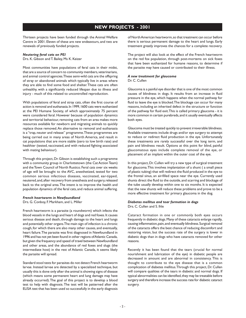## **NEW PROJECTS - 2001**

Thirteen projects have been funded through the Animal Welfare Centre in 2001. Eleven of these are new endeavours, and two are renewals of previously funded projects.

#### *Neutering feral cats on PEI*

Drs. K. Gibson and T. Bailey, Ms K. Keizer

Most communities have populations of feral cats in their midst, that are a source of concern to community members, veterinarians, and animal control agencies. These semi-wild cats are the offspring of stray or abandoned animals which typically live in areas where they are able to find some food and shelter. These cats are often unhealthy, with a significantly reduced lifespan due to illness and injury - much of this related to uncontrolled reproduction.

With populations of feral and stray cats, often the first course of action is removal and euthanasia. In 1999, 1600 cats were euthanized at the PEI Humane Society, of which approximately 75 percent were considered feral. However because of population dynamics and territorial behaviour, removing cats from an area makes more resources available for newborn and migrating animals to quickly replace those removed. An alternative to removal and euthanasia is a "trap, neuter and release" programme. These programmes are being carried out in many areas of North America, and result in cat populations that are more stable (zero to low birth rate) and healthier (tested, vaccinated, and with reduced fighting associated with mating behaviour).

Through this project, Dr. Gibson is establishing such a programme with a community group in Charlottetown (the Cat Action Team) and the Town Council of North Rustico. Feral cats over six weeks of age will be brought to the AVC, anesthetized, tested for two common serious infectious diseases, vaccinated, ear-tipped, neutered, and, after recovery from anesthesia and surgery, released back to the original area. The intent is to improve the health and population dynamics of the feral cats, and reduce animal suffering.

#### *French heartworm in Newfoundland*

Drs. G. Conboy, F. Markham, and L. Miller

French heartworm is a parasite (a roundworm) which infects the blood vessels in the lungs and heart of dogs and red foxes. It causes serious disease and death, through damage to the heart and lungs and potentially other organs. The main sign of infection is a chronic cough, for which there are also many other causes, and eventually, heart failure. The parasite was first diagnosed in Newfoundland in 1996 and has not yet been found in other regions of Atlantic Canada, but given the frequency and speed of travel between Newfoundland and other areas, and the abundance of red foxes and slugs (the intermediate host) in the rest of Atlantic Canada, it seems likely the parasite will spread.

Standard stool tests for parasites do not detect French heartworm larvae. Instead larvae are detected by a specialized technique, but usually this is done only after the animal is showing signs of disease (which means some permanent heart and lung damage may have already occurred). The goal of this project is to develop a blood test to help with diagnosis. The test will be patterned after the ELISA test that has been used so successfully in the early diagnosis of North American heartworm, so that treatment can occur before there is serious permanent damage to the heart and lungs. Early treatment greatly improves the chances for a complete recovery.

The project will also look at the effect of the French heartworm on the red fox population, through post-mortems on sick foxes that have been euthanized for humane reasons, to determine if the parasite may have caused or contributed to their illness.

#### *A new treatment for glaucoma*

Dr. C. Cullen

Glaucoma is a painful eye disorder that is one of the most common causes of blindness in dogs. It results from an increase in fluid pressure in the eye, which happens when the normal pathway for fluid to leave the eye is blocked. The blockage can occur for many reasons, including an inherited defect in the structure or function of the pathway for fluid exit. This is called primary glaucoma - it is more common in certain purebreds, and it usually eventually affects both eyes.

Glaucoma must be treated quickly to prevent irreversible blindness. Available treatments include drugs and/or eye surgery to attempt to reduce or redirect fluid production in the eye. Unfortunately these treatments are rarely successful over the long term, and pain and blindness result. Options at this point for blind, painful glaucomatous eyes include complete removal of the eye, or placement of an implant within the outer coat of the eye.

In this project, Dr. Cullen will try a new type of surgical treatment for glaucoma. This involves implantation of a shunt ( a small piece of plastic tubing) that will redirect the fluid produced in the eye to the frontal sinus, an air-filled space near the eye. Currently used shunts direct the fluid to the outside, and scarring and blockage of the tube usually develop within one to six months. It is expected that the new shunts will reduce these problems and prove to be a more effective treatment for primary glaucoma in the dog.

### *Diabetes mellitus and tear formation in dogs*

Drs. C. Cullen and S. Ihle

Cataract formation in one or commonly both eyes occurs frequently in diabetic dogs. Many of these cataracts enlarge rapidly, causing inflammation, pain, and eventually blindness. Surgical removal of the cataracts offers the best chance of reducing discomfort and restoring vision, but the success rate of the surgery is lower in diabetic dogs than in dogs who have cataracts removed for other reasons.

Recently it has been found that the tears (crucial for normal nourishment and lubrication of the eye) in diabetic people are decreased in amount and are abnormal in consistency. This is thought to contribute to the eye disease that is a common complication of diabetes mellitus. Through this project, Dr. Cullen will compare qualities of the tears in diabetic and normal dogs. If typical abnormalities can be identified, they may be treatable before surgery and therefore increase the success rate for diabetic cataract surgery.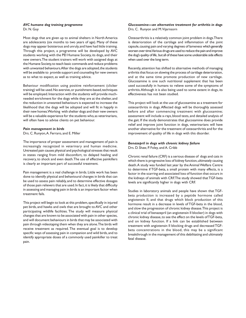#### *AVC humane dog training programme* Dr. N. Guy

Most dogs that are given up to animal shelters in North America are adolescents (six months to two years of age). Many of these dogs may appear boisterous and unruly, and have had little training. Through this project, a programme will be developed by AVC students working with the PEI Humane Society, its dogs, and their new owners. The student trainers will work with assigned dogs at the Humane Society, to teach basic commands and reduce problems with unwanted behaviours. After the dogs are adopted, the students will be available to provide support and counseling for new owners as to what to expect, as well as training advice.

Behaviour modification using positive reinforcement (clicker training) will be used. No aversive, or punishment-based, techniques will be employed. Interaction with the students will provide muchneeded enrichment for the dogs while they are at the shelter, and the reduction in unwanted behaviours is expected to increase the likelihood that the dogs will be adopted and will fit in happily in their new homes. Working with shelter dogs and their new owners will be a valuable experience for the students who, as veterinarians, will often have to advise clients on pet behaviour.

#### *Pain management in birds*

Drs. C. Runyon, A. Ferraro, and E. Miller

The importance of proper assessment and management of pain is increasingly recognized in veterinary and human medicine. Untreated pain causes physical and psychological stresses that result in states ranging from mild discomfort, to delayed healing and recovery, to shock and even death. The use of effective painkillers is clearly an important part of successful treatment.

Pain management is a real challenge in birds. Little work has been done to identify physical and behavioural changes in birds that can be used to assess pain reliably, and to determine effective dosages of those pain relievers that are used. In fact, it is likely that difficulty in assessing and managing pain in birds is an important factor when treatment fails.

This project will begin to look at this problem, specifically in injured pet birds, and hawks and owls that are brought to AVC and other participating wildlife facilities. The study will measure physical changes that are known to be associated with pain in other species, and will document behaviours in birds that may be associated with pain through videotaping them when they are alone. The birds will receive treatment as required. The eventual goal is to develop specific ways of assessing pain in companion and wild birds, and to identify appropriate doses of a commonly used painkiller to treat pain.

#### *Glucosamine—an alternative treatment for arthritis in dogs* Drs. C. Runyon and M. Vijarnsorn

Osteoarthritis is a relatively common joint problem in dogs. There is deterioration of the cartilage and inflammation of the joint capsule, causing pain and varying degrees of lameness which generally worsen over time. Various drugs are used to reduce the pain and improve the dog's quality of life, but all of these have some undesirable side effects when used over the long term.

Recently, attention has shifted to alternative methods of managing arthritis that focus on slowing the process of cartilage deterioration, and at the same time promote production of new cartilage. Glucosamine is one such nutritional supplement that has been used successfully in humans to relieve some of the symptoms of arthritis. Although it is also being used to some extent in dogs, its effectiveness has not been studied.

This project will look at the use of glucosamine as a treatment for osteoarthritis in dogs. Affected dogs will be thoroughly assessed before and after commencing treatment with glucosamine; assessment will include x-rays, blood tests, and detailed analysis of the gait. If the study demonstrates that glucosamine does provide relief and improve joint function in dogs, veterinarians will have another alternative for the treatment of osteoarthritis and for the improvement of quality of life in dogs with this disorder.

## *Benazepril in dogs with chronic kidney failure*

Drs. D. Shaw, P. Foley, and A. Cribb

Chronic renal failure (CRF) is a serious disease of dogs and cats in which there is progressive loss of kidney function, ultimately causing death. A study was funded last year by the Animal Welfare Centre to determine if TGF-beta, a small protein with many effects, is a factor in the scarring and associated loss of function that occurs in the kidneys of animals with CRF. The study showed that TGF-beta levels are significantly higher in dogs with CRF.

Studies in laboratory animals and people have shown that TGFbeta production is increased by a peptide hormone called angiotensin II, and that drugs which block production of this hormone result in a decrease in levels of TGF-beta in the blood, and slow the progression of chronic kidney disease. This project is a clinical trial of benazepril (an angiotensin II blocker) in dogs with chronic kidney disease, to see the effect on the levels of TGF-beta, and on kidney function. If a link can be established between treatment with angiotensin II blocking drugs and decreased TGFbeta concentrations in the blood, this may be a significant breakthrough in the management of this debilitating and ultimately fatal disease.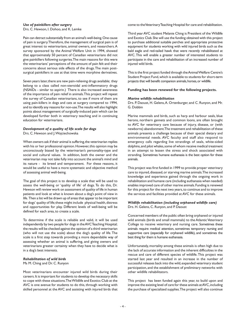#### *Use of painkillers after surgery*

Drs. C. Hewson, I. Dohoo, and K. Lemke

Pain can detract substantially from an animal's well-being. One cause of pain is surgery. Therefore, the management of surgical pain is of great interest to veterinarians, animal owners, and researchers. A survey sponsored by the Animal Welfare Unit in 1994, showed that approximately 50 percent of Canadian veterinarians did not give painkillers following surgeries. The main reasons for this were the veterinarians' perceptions of the amount of pain felt and their concerns about serious side effects of the drugs. The main postsurgical painkillers in use at that time were morphine derivatives.

Seven years later, there are new pain-relieving drugs available; they belong to a class called non-steroidal anti-inflammatory drugs (NSAIDs - similar to aspirin.) There is also increased awareness of the importance of pain relief in animals. This project will repeat the survey of Canadian veterinarians, to see if more of them are using pain-killers in dogs and cats at surgery compared to 1994, and to identify any reasons for non-use. The results will also highlight points about management of surgically-induced pain which can be developed further both in veterinary teaching and in continuing education for veterinarians.

#### *Development of a quality of life scale for dogs* Drs. C. Hewson and J. Wojciechowska

When owners ask if their animal is suffering, the veterinarian replies

with his or her professional opinion. However, this opinion may be unconsciously biased by the veterinarian's personality-type and social and cultural values. In addition, both the owner and the veterinarian may not take fully into account the animal's mind and its nature - its breed and temperament. For these reasons, it would be useful to have a more systematic and objective method of assessing animal well-being.

The goal of this project is to develop a scale that will be used to assess the well-being or 'quality of life' of dogs. To do this, Dr. Hewson will review work on assessment of quality of life in human patients and look at what is known about a dog's point of view in life. Then a list will be drawn up of areas that appear to be important for dogs' quality of life; these might include physical health, distress and opportunities for play. Different levels of well-being will be defined for each area, to create a scale.

To determine if the scale is reliable and valid, it will be used independently by two people for dogs in the AVC Teaching Hospital; the results will be checked against the opinion of a third veterinarian (who will not use the scale) about the dog's quality of life. The scale is a first step towards providing a more dependable way of assessing whether an animal is suffering, and giving owners and veterinarians greater certainty when they have to decide what is in a dog's best interests.

#### *Rehabilitation of wild birds*

Ms M. Ching and Dr. C. Runyon

Most veterinarians encounter injured wild birds during their careers. It is important for students to develop the necessary skills to cope with these situations. The Wildlife and Exotics Club at the AVC is one avenue for students to do this, through working with skilled personnel at the AVC and assisting with injured birds that come to the Veterinary Teaching Hospital for care and rehabilitation.

Third year AVC student Melanie Ching is President of the Wildlife and Exotics Club. She will use the funding obtained with this project to purchase additional suitable perches and appropriate protective equipment for students working with wild injured birds such as the bald eagle and red-tailed hawk that were recently rehabilitated at AVC.This will enable a greater number of interested students to participate in the care and rehabilitation of an increased number of injured wild birds.

This is the first project funded through the Animal Welfare Centre's Student Project Fund, which is available to students for short-term projects that will benefit companion animals, horses, or wildlife.

#### **Funding has been renewed for the following projects.**

#### *Marine wildlife rehabilitation*

Drs. P. Daoust, H. Gelens, A. Ortenburger, and C. Runyon, and Mr. G. Dobbin

Marine mammals and birds, such as harp and harbour seals, blue herons, northern gannets and common loons, are often brought to AVC for veterinary care because of injury, disease, or (with newborns) abandonment. The treatment and rehabilitation of these animals presents a challenge because of their special dietary and environmental needs. AVC faculty and staff also respond to emergency calls regarding live strandings of seals, white-sided dolphins, and pilot whales, some of whom receive medical treatment in an attempt to lessen the stress and shock associated with stranding. Sometimes humane euthanasia is the best option for these animals.

This project was first funded in 1999 to provide proper veterinary care to injured, diseased, or starving marine animals. The increased knowledge and experience gained through the ongoing work in rehabilitation and humane care (including euthanasia when needed) enables improved care of other marine animals. Funding is renewed for this project for the next two years, to continue and to improve the services and facilities provided at AVC for these animals.

#### *Wildlife rehabilitation (including orphaned wildlife care)* Drs. H. Gelens, C. Runyon, and P. Daoust

Concerned members of the public often bring orphaned or injured wild animals (birds and small mammals) to the Atlantic Veterinary College to receive veterinary and nursing care. Sometimes these animals require medical attention, sometimes temporary nursing and supportive care (especially for orphaned wildlife), and sometimes the best thing for them is humane euthanasia.

Unfortunately, mortality among these animals is often high due to the lack of accurate information and the inherent difficulties in the rescue and care of different species of wildlife. This project was started last year and resulted in an increase in the number of successful releases back into the wild, expanded veterinary student participation, and the establishment of preliminary networks with other wildlife rehabilitators.

This project has been funded again this year, to build upon and improve the existing level of care for these animals at AVC, including the purchase of specialized supplies. The project will also continue